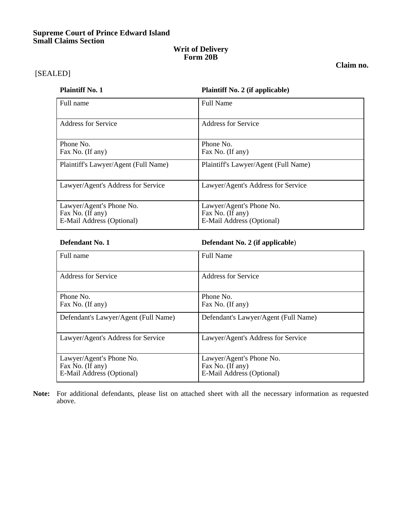# **Supreme Court of Prince Edward Island Small Claims Section**

## **Writ of Delivery Form 20B**

**Claim no.** 

[SEALED]

## **Plaintiff No. 1 Plaintiff No. 2 (if applicable)**

| Full name                                                                 | <b>Full Name</b>                                                          |
|---------------------------------------------------------------------------|---------------------------------------------------------------------------|
| <b>Address for Service</b>                                                | <b>Address for Service</b>                                                |
| Phone No.<br>Fax No. (If any)                                             | Phone No.<br>Fax No. (If any)                                             |
| Plaintiff's Lawyer/Agent (Full Name)                                      | Plaintiff's Lawyer/Agent (Full Name)                                      |
| Lawyer/Agent's Address for Service                                        | Lawyer/Agent's Address for Service                                        |
| Lawyer/Agent's Phone No.<br>Fax No. (If any)<br>E-Mail Address (Optional) | Lawyer/Agent's Phone No.<br>Fax No. (If any)<br>E-Mail Address (Optional) |

# **Defendant No. 1 Defendant No. 2 (if applicable**)

| Full name                                                                 | <b>Full Name</b>                                                          |
|---------------------------------------------------------------------------|---------------------------------------------------------------------------|
| Address for Service                                                       | Address for Service                                                       |
| Phone No.<br>Fax No. (If any)                                             | Phone No.<br>Fax No. (If any)                                             |
| Defendant's Lawyer/Agent (Full Name)                                      | Defendant's Lawyer/Agent (Full Name)                                      |
| Lawyer/Agent's Address for Service                                        | Lawyer/Agent's Address for Service                                        |
| Lawyer/Agent's Phone No.<br>Fax No. (If any)<br>E-Mail Address (Optional) | Lawyer/Agent's Phone No.<br>Fax No. (If any)<br>E-Mail Address (Optional) |

**Note:** For additional defendants, please list on attached sheet with all the necessary information as requested above.